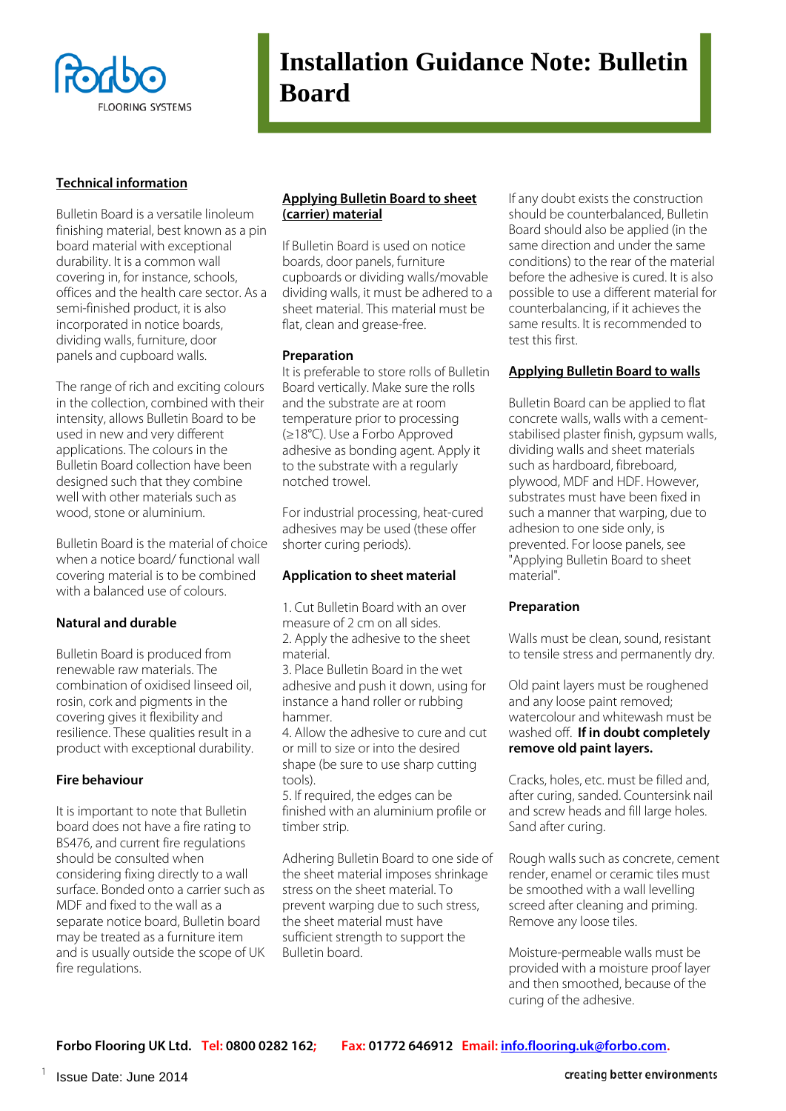

## **Installation Guidance Note: Bulletin Board**

#### **Technical information**

Bulletin Board is a versatile linoleum finishing material, best known as a pin board material with exceptional durability. It is a common wall covering in, for instance, schools, offices and the health care sector. As a semi-finished product, it is also incorporated in notice boards, dividing walls, furniture, door panels and cupboard walls.

The range of rich and exciting colours in the collection, combined with their intensity, allows Bulletin Board to be used in new and very different applications. The colours in the Bulletin Board collection have been designed such that they combine well with other materials such as wood, stone or aluminium.

Bulletin Board is the material of choice when a notice board/ functional wall covering material is to be combined with a balanced use of colours.

#### **Natural and durable**

Bulletin Board is produced from renewable raw materials. The combination of oxidised linseed oil, rosin, cork and pigments in the covering gives it flexibility and resilience. These qualities result in a product with exceptional durability.

#### **Fire behaviour**

It is important to note that Bulletin board does not have a fire rating to BS476, and current fire regulations should be consulted when considering fixing directly to a wall surface. Bonded onto a carrier such as MDF and fixed to the wall as a separate notice board, Bulletin board may be treated as a furniture item and is usually outside the scope of UK fire regulations.

#### **Applying Bulletin Board to sheet (carrier) material**

If Bulletin Board is used on notice boards, door panels, furniture cupboards or dividing walls/movable dividing walls, it must be adhered to a sheet material. This material must be flat, clean and grease-free.

#### **Preparation**

It is preferable to store rolls of Bulletin Board vertically. Make sure the rolls and the substrate are at room temperature prior to processing (≥18°C). Use a Forbo Approved adhesive as bonding agent. Apply it to the substrate with a regularly notched trowel.

For industrial processing, heat-cured adhesives may be used (these offer shorter curing periods).

## **Application to sheet material**

1. Cut Bulletin Board with an over measure of 2 cm on all sides. 2. Apply the adhesive to the sheet material.

3. Place Bulletin Board in the wet adhesive and push it down, using for instance a hand roller or rubbing hammer.

4. Allow the adhesive to cure and cut or mill to size or into the desired shape (be sure to use sharp cutting tools).

5. If required, the edges can be finished with an aluminium profile or timber strip.

Adhering Bulletin Board to one side of the sheet material imposes shrinkage stress on the sheet material. To prevent warping due to such stress, the sheet material must have sufficient strength to support the Bulletin board.

If any doubt exists the construction should be counterbalanced, Bulletin Board should also be applied (in the same direction and under the same conditions) to the rear of the material before the adhesive is cured. It is also possible to use a different material for counterbalancing, if it achieves the same results. It is recommended to test this first.

## **Applying Bulletin Board to walls**

Bulletin Board can be applied to flat concrete walls, walls with a cementstabilised plaster finish, gypsum walls, dividing walls and sheet materials such as hardboard, fibreboard, plywood, MDF and HDF. However, substrates must have been fixed in such a manner that warping, due to adhesion to one side only, is prevented. For loose panels, see "Applying Bulletin Board to sheet material".

#### **Preparation**

Walls must be clean, sound, resistant to tensile stress and permanently dry.

Old paint layers must be roughened and any loose paint removed; watercolour and whitewash must be washed off. **If in doubt completely remove old paint layers.**

Cracks, holes, etc. must be filled and, after curing, sanded. Countersink nail and screw heads and fill large holes. Sand after curing.

Rough walls such as concrete, cement render, enamel or ceramic tiles must be smoothed with a wall levelling screed after cleaning and priming. Remove any loose tiles.

Moisture-permeable walls must be provided with a moisture proof layer and then smoothed, because of the curing of the adhesive.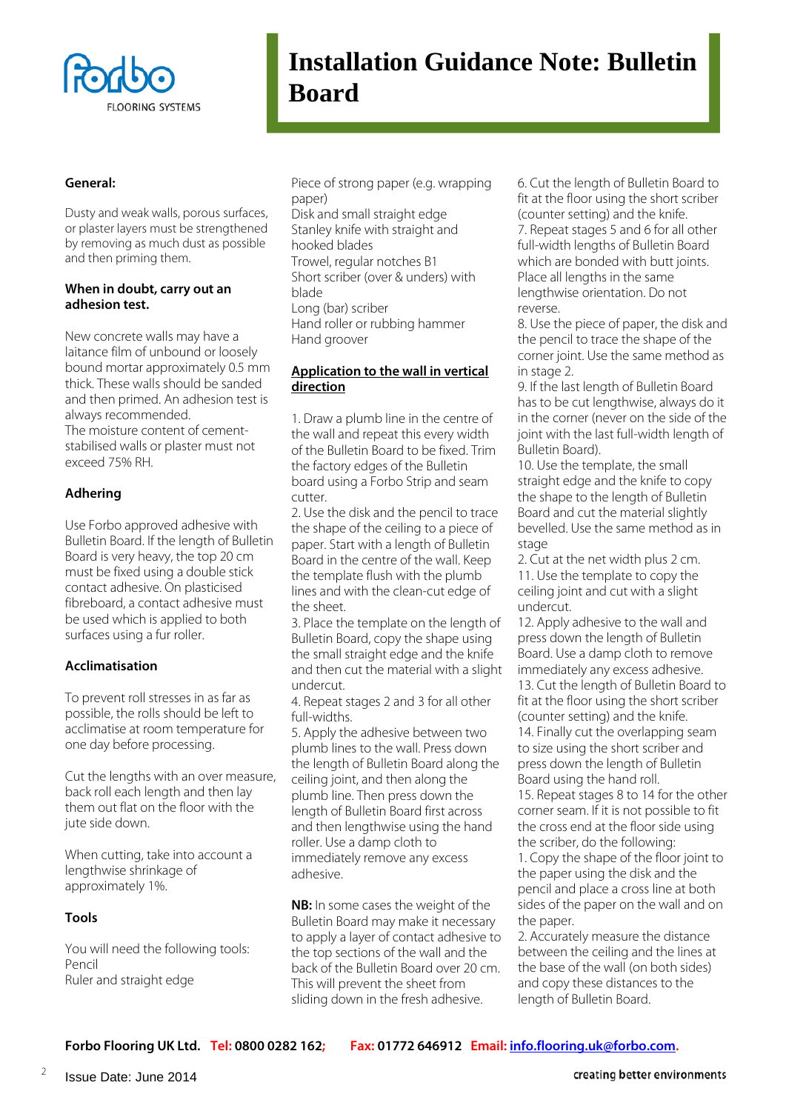

# **Installation Guidance Note: Bulletin Board**

#### **General:**

Dusty and weak walls, porous surfaces, or plaster layers must be strengthened by removing as much dust as possible and then priming them.

#### **When in doubt, carry out an adhesion test.**

New concrete walls may have a laitance film of unbound or loosely bound mortar approximately 0.5 mm thick. These walls should be sanded and then primed. An adhesion test is always recommended. The moisture content of cementstabilised walls or plaster must not exceed 75% RH.

## **Adhering**

Use Forbo approved adhesive with Bulletin Board. If the length of Bulletin Board is very heavy, the top 20 cm must be fixed using a double stick contact adhesive. On plasticised fibreboard, a contact adhesive must be used which is applied to both surfaces using a fur roller.

## **Acclimatisation**

To prevent roll stresses in as far as possible, the rolls should be left to acclimatise at room temperature for one day before processing.

Cut the lengths with an over measure, back roll each length and then lay them out flat on the floor with the jute side down.

When cutting, take into account a lengthwise shrinkage of approximately 1%.

## **Tools**

You will need the following tools: Pencil Ruler and straight edge

Piece of strong paper (e.g. wrapping paper) Disk and small straight edge

Stanley knife with straight and hooked blades Trowel, regular notches B1 Short scriber (over & unders) with blade Long (bar) scriber Hand roller or rubbing hammer

Hand groover

#### **Application to the wall in vertical direction**

1. Draw a plumb line in the centre of the wall and repeat this every width of the Bulletin Board to be fixed. Trim the factory edges of the Bulletin board using a Forbo Strip and seam cutter.

2. Use the disk and the pencil to trace the shape of the ceiling to a piece of paper. Start with a length of Bulletin Board in the centre of the wall. Keep the template flush with the plumb lines and with the clean-cut edge of the sheet.

3. Place the template on the length of Bulletin Board, copy the shape using the small straight edge and the knife and then cut the material with a slight undercut.

4. Repeat stages 2 and 3 for all other full-widths.

5. Apply the adhesive between two plumb lines to the wall. Press down the length of Bulletin Board along the ceiling joint, and then along the plumb line. Then press down the length of Bulletin Board first across and then lengthwise using the hand roller. Use a damp cloth to immediately remove any excess adhesive.

**NB:** In some cases the weight of the Bulletin Board may make it necessary to apply a layer of contact adhesive to the top sections of the wall and the back of the Bulletin Board over 20 cm. This will prevent the sheet from sliding down in the fresh adhesive.

6. Cut the length of Bulletin Board to fit at the floor using the short scriber (counter setting) and the knife. 7. Repeat stages 5 and 6 for all other full-width lengths of Bulletin Board which are bonded with butt joints. Place all lengths in the same lengthwise orientation. Do not reverse.

8. Use the piece of paper, the disk and the pencil to trace the shape of the corner joint. Use the same method as in stage 2.

9. If the last length of Bulletin Board has to be cut lengthwise, always do it in the corner (never on the side of the joint with the last full-width length of Bulletin Board).

10. Use the template, the small straight edge and the knife to copy the shape to the length of Bulletin Board and cut the material slightly bevelled. Use the same method as in stage

2. Cut at the net width plus 2 cm. 11. Use the template to copy the ceiling joint and cut with a slight undercut.

12. Apply adhesive to the wall and press down the length of Bulletin Board. Use a damp cloth to remove immediately any excess adhesive. 13. Cut the length of Bulletin Board to fit at the floor using the short scriber (counter setting) and the knife. 14. Finally cut the overlapping seam to size using the short scriber and press down the length of Bulletin Board using the hand roll.

15. Repeat stages 8 to 14 for the other corner seam. If it is not possible to fit the cross end at the floor side using the scriber, do the following: 1. Copy the shape of the floor joint to

the paper using the disk and the pencil and place a cross line at both sides of the paper on the wall and on the paper.

2. Accurately measure the distance between the ceiling and the lines at the base of the wall (on both sides) and copy these distances to the length of Bulletin Board.

**Forbo Flooring UK Ltd. Tel: 0800 0282 162; Fax: 01772 646912 Email[: info.flooring.uk@forbo.com.](mailto:info.flooring.uk@forbo.com)** 

creating better environments